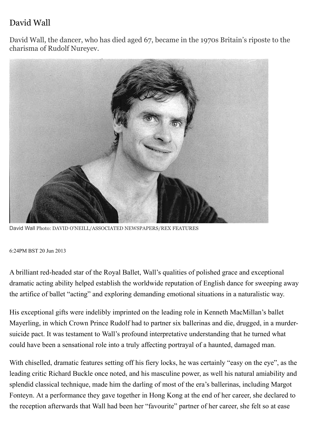## David Wall

David Wall, the dancer, who has died aged 67, became in the 1970s Britain's riposte to the charisma of Rudolf Nureyev.



David Wall Photo: DAVID O'NEILL/ASSOCIATED NEWSPAPERS/REX FEATURES

## 6:24PM BST 20 Jun 2013

A brilliant red-headed star of the Royal Ballet, Wall's qualities of polished grace and exceptional dramatic acting ability helped establish the worldwide reputation of English dance for sweeping away the artifice of ballet "acting" and exploring demanding emotional situations in a naturalistic way.

His exceptional gifts were indelibly imprinted on the leading role in Kenneth MacMillan's ballet Mayerling, in which Crown Prince Rudolf had to partner six ballerinas and die, drugged, in a murdersuicide pact. It was testament to Wall's profound interpretative understanding that he turned what could have been a sensational role into a truly affecting portrayal of a haunted, damaged man.

With chiselled, dramatic features setting off his fiery locks, he was certainly "easy on the eye", as the leading critic Richard Buckle once noted, and his masculine power, as well his natural amiability and splendid classical technique, made him the darling of most of the era's ballerinas, including Margot Fonteyn. At a performance they gave together in Hong Kong at the end of her career, she declared to the reception afterwards that Wall had been her "favourite" partner of her career, she felt so at ease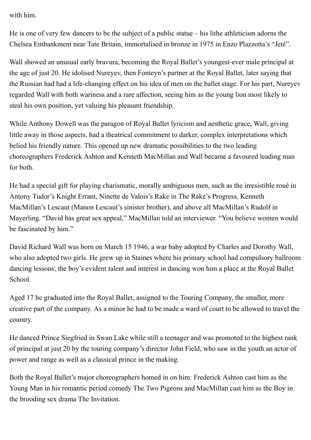with him.

He is one of very few dancers to be the subject of a public statue – his lithe athleticism adorns the Chelsea Embankment near Tate Britain, immortalised in bronze in 1975 in Enzo Plazzotta's "Jeté".

Wall showed an unusual early bravura, becoming the Royal Ballet's youngest-ever male principal at the age of just 20. He idolised Nureyev, then Fonteyn's partner at the Royal Ballet, later saying that the Russian had had a life-changing effect on his idea of men on the ballet stage. For his part, Nureyev regarded Wall with both wariness and a rare affection, seeing him as the young lion most likely to steal his own position, yet valuing his pleasant friendship.

While Anthony Dowell was the paragon of Royal Ballet lyricism and aesthetic grace, Wall, giving little away in those aspects, had a theatrical commitment to darker, complex interpretations which belied his friendly nature. This opened up new dramatic possibilities to the two leading choreographers Frederick Ashton and Kenneth MacMillan and Wall became a favoured leading man for both.

He had a special gift for playing charismatic, morally ambiguous men, such as the irresistible roué in Antony Tudor's Knight Errant, Ninette de Valois's Rake in The Rake's Progress, Kenneth MacMillan's Lescaut (Manon Lescaut's sinister brother), and above all MacMillan's Rudolf in Mayerling. "David has great sex appeal," MacMillan told an interviewer. "You believe women would be fascinated by him."

David Richard Wall was born on March 15 1946, a war baby adopted by Charles and Dorothy Wall, who also adopted two girls. He grew up in Staines where his primary school had compulsory ballroom dancing lessons; the boy's evident talent and interest in dancing won him a place at the Royal Ballet School.

Aged 17 he graduated into the Royal Ballet, assigned to the Touring Company, the smaller, more creative part of the company. As a minor he had to be made a ward of court to be allowed to travel the country.

He danced Prince Siegfried in Swan Lake while still a teenager and was promoted to the highest rank of principal at just 20 by the touring company's director John Field, who saw in the youth an actor of power and range as well as a classical prince in the making.

Both the Royal Ballet's major choreographers homed in on him: Frederick Ashton cast him as the Young Man in his romantic period comedy The Two Pigeons and MacMillan cast him as the Boy in the brooding sex drama The Invitation.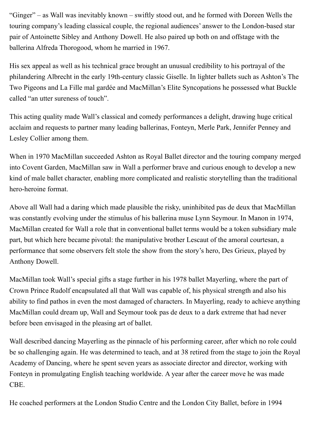"Ginger" – as Wall was inevitably known – swiftly stood out, and he formed with Doreen Wells the touring company's leading classical couple, the regional audiences' answer to the London-based star pair of Antoinette Sibley and Anthony Dowell. He also paired up both on and offstage with the ballerina Alfreda Thorogood, whom he married in 1967.

His sex appeal as well as his technical grace brought an unusual credibility to his portrayal of the philandering Albrecht in the early 19th-century classic Giselle. In lighter ballets such as Ashton's The Two Pigeons and La Fille mal gardée and MacMillan's Elite Syncopations he possessed what Buckle called "an utter sureness of touch".

This acting quality made Wall's classical and comedy performances a delight, drawing huge critical acclaim and requests to partner many leading ballerinas, Fonteyn, Merle Park, Jennifer Penney and Lesley Collier among them.

When in 1970 MacMillan succeeded Ashton as Royal Ballet director and the touring company merged into Covent Garden, MacMillan saw in Wall a performer brave and curious enough to develop a new kind of male ballet character, enabling more complicated and realistic storytelling than the traditional hero-heroine format.

Above all Wall had a daring which made plausible the risky, uninhibited pas de deux that MacMillan was constantly evolving under the stimulus of his ballerina muse Lynn Seymour. In Manon in 1974, MacMillan created for Wall a role that in conventional ballet terms would be a token subsidiary male part, but which here became pivotal: the manipulative brother Lescaut of the amoral courtesan, a performance that some observers felt stole the show from the story's hero, Des Grieux, played by Anthony Dowell.

MacMillan took Wall's special gifts a stage further in his 1978 ballet Mayerling, where the part of Crown Prince Rudolf encapsulated all that Wall was capable of, his physical strength and also his ability to find pathos in even the most damaged of characters. In Mayerling, ready to achieve anything MacMillan could dream up, Wall and Seymour took pas de deux to a dark extreme that had never before been envisaged in the pleasing art of ballet.

Wall described dancing Mayerling as the pinnacle of his performing career, after which no role could be so challenging again. He was determined to teach, and at 38 retired from the stage to join the Royal Academy of Dancing, where he spent seven years as associate director and director, working with Fonteyn in promulgating English teaching worldwide. A year after the career move he was made CBE.

He coached performers at the London Studio Centre and the London City Ballet, before in 1994